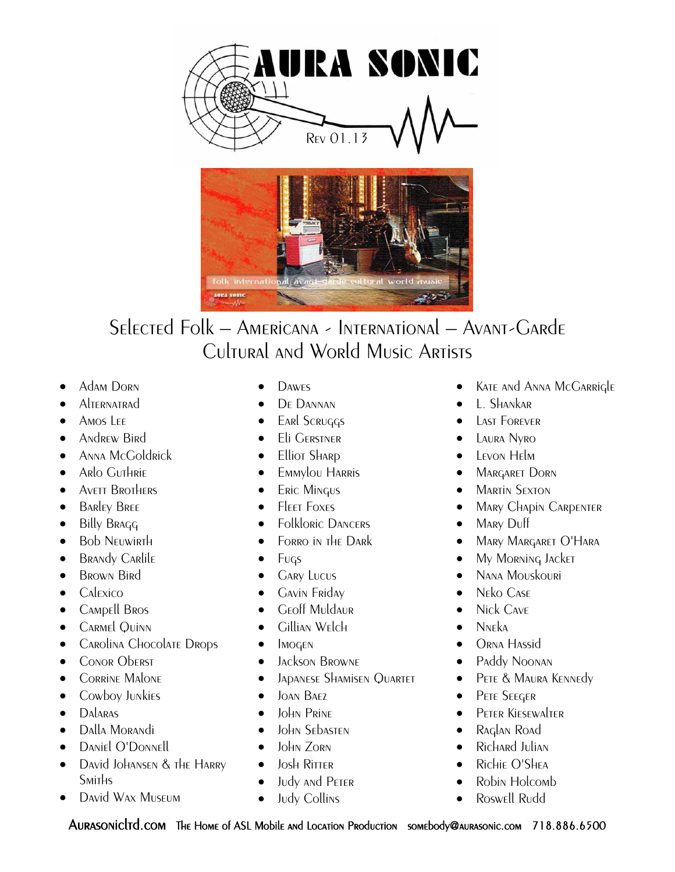



## Selected Folk – Americana - International – Avant-Garde Cultural and World Music Artists

- Adam Dorn
- **Alternatrad**
- A<sub>MOS</sub> L<sub>EE</sub>
- Andrew Bird
- Anna McGoldrick
- **•** Arlo Guthrie
- AVETT BROTHERS
- **BARLEY BREE**
- Billy Bragg
- **Bob NEUWIRTH**
- **BRANDY CARLILE**
- **BROWN Bird**
- $\bullet$  Calexico
- CAMPELL BROS
- **•** CARMEL QUINN
- **•** CAROLINA CHOCOLATE DROPS
- **CONOR Oberst**
- **•** CORRINE MALONE
- **•** Cowboy Junkies
- DALARAS
- Dalla Morandi
- Daniel O'Donnell
- David Johansen & the Harry Smiths
- David Wax Museum
- **DAWES**
- **•** DE DANNAN
- **EARL SCRUGGS**
- **Eli GERSTNER**
- Elliot Shard
- **•** Emmylou Harris
- **ERIC MINGUS**
- **FIFFT FOXES**
- Folkloric DANCERS
- FORRO IN THE DARK
- $\bullet$  Fugs
- **GARY LUCUS**
- **•** Gavin Fridav
- Geoff Muldaur
- $\bullet$  Gillian Welch
- $\bullet$  IMOGEN
- **•** Jackson Browne
- **JADANESE SHAMISEN QUARTET**
- $\bullet$  JOAN BAEZ
- John Prine
- John Sebasten
- $\bullet$  John Zorn
- $\bullet$  Josh Ritter
- Judy and Peter
- Judy Collins
- Kate and Anna McGarrigle
- $\bullet$  L. Shankar
- **CENT** LAST FOREVER
- **•** LAURA Nyro
- **•** LEVON HELM
- **MARGARET DORN**
- **•** MARTIN SEXTON
- **MARY CHAPIN CARPENTER**
- MARY Duff
- Mary Margaret O'Hara
- My Morning Jacket
- Nana Mouskouri
- Neko Case
- Nick Cave
- $\bullet$  N<sub>NF</sub><sub>ka</sub>
- ORNA HASSID
- Paddy Noonan
- **•** PETE & MAURA KENNEDY
- **•** PETE SEEGER
- **•** PETER KIESEWALTER
- Raglan Road
- Richard Julian
- Richie O'Shea
- Robin Holcomb
- Roswell Rudd

Aurasonicltd.com The Home of ASL Mobile and Location Production somebody@aurasonic.com 718.886.6500